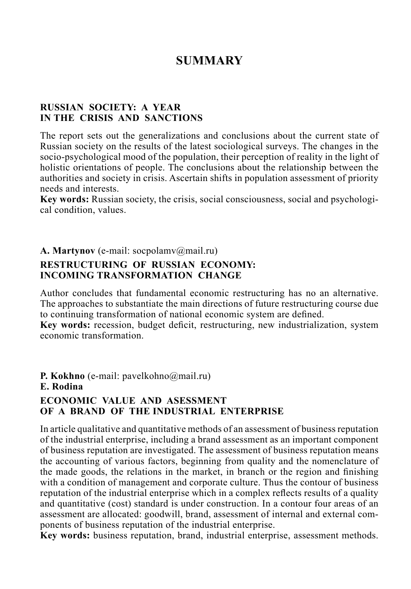# **SUMMARY**

#### **RUSSIAN SOCIETY: A YEAR IN THE CRISIS AND SANCTIONS**

The report sets out the generalizations and conclusions about the current state of Russian society on the results of the latest sociological surveys. The changes in the socio-psychological mood of the population, their perception of reality in the light of holistic orientations of people. The conclusions about the relationship between the authorities and society in crisis. Ascertain shifts in population assessment of priority needs and interests.

**Key words:** Russian society, the crisis, social consciousness, social and psychological condition, values.

#### **A. Martynov** (e-mail: socpolamv@mail.ru)

#### **RESTRUCTURING OF RUSSIAN ECONOMY: INCOMING TRANSFORMATION CHANGE**

Author concludes that fundamental economic restructuring has no an alternative. The approaches to substantiate the main directions of future restructuring course due to continuing transformation of national economic system are defined.

**Key words:** recession, budget deficit, restructuring, new industrialization, system economic transformation.

**P. Kokhno** (e-mail: pavelkohno@mail.ru) **E. Rodina ECONOMIC VALUE AND ASESSMENT OF A BRAND OF THE INDUSTRIAL ENTERPRISE**

In article qualitative and quantitative methods of an assessment of business reputation of the industrial enterprise, including a brand assessment as an important component of business reputation are investigated. The assessment of business reputation means the accounting of various factors, beginning from quality and the nomenclature of the made goods, the relations in the market, in branch or the region and finishing with a condition of management and corporate culture. Thus the contour of business reputation of the industrial enterprise which in a complex reflects results of a quality and quantitative (cost) standard is under construction. In a contour four areas of an assessment are allocated: goodwill, brand, assessment of internal and external components of business reputation of the industrial enterprise.

**Key words:** business reputation, brand, industrial enterprise, assessment methods.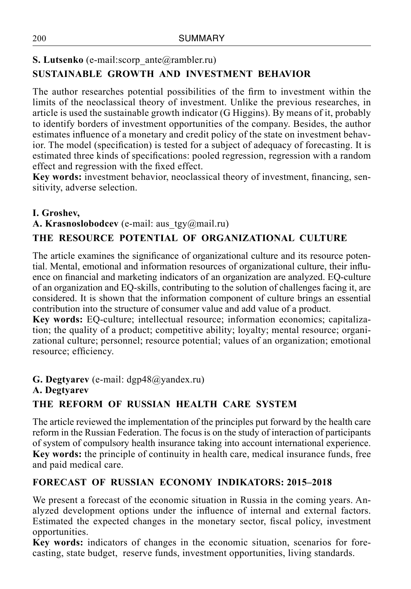## **S. Lutsenko** (e-mail:scorp\_ante@rambler.ru) **SUSTAINABLE GROWTH AND INVESTMENT BEHAVIOR**

The author researches potential possibilities of the firm to investment within the limits of the neoclassical theory of investment. Unlike the previous researches, in article is used the sustainable growth indicator (G Higgins). By means of it, probably to identify borders of investment opportunities of the company. Besides, the author estimates influence of a monetary and credit policy of the state on investment behavior. The model (specification) is tested for a subject of adequacy of forecasting. It is estimated three kinds of specifications: pooled regression, regression with a random effect and regression with the fixed effect.

**Key words:** investment behavior, neoclassical theory of investment, financing, sensitivity, adverse selection.

## **I. Groshev,**

A. Krasnoslobodcev (e-mail: aus tgy@mail.ru)

## **THE RESOURCE POTENTIAL OF ORGANIZATIONAL CULTURE**

The article examines the significance of organizational culture and its resource potential. Mental, emotional and information resources of organizational culture, their influence on financial and marketing indicators of an organization are analyzed. EQ-culture of an organization and EQ-skills, contributing to the solution of challenges facing it, are considered. It is shown that the information component of culture brings an essential contribution into the structure of consumer value and add value of a product.

**Key words:** EQ-culture; intellectual resource; information economics; capitalization; the quality of a product; competitive ability; loyalty; mental resource; organizational culture; personnel; resource potential; values of an organization; emotional resource; efficiency.

**G. Degtyarev** (е-mail: dgp48@yandex.ru)

#### **A. Degtyarev**

## **THE REFORM OF RUSSIAN HEALTH CARE SYSTEM**

The article reviewed the implementation of the principles put forward by the health care reform in the Russian Federation. The focus is on the study of interaction of participants of system of compulsory health insurance taking into account international experience. **Key words:** the principle of continuity in health care, medical insurance funds, free and paid medical care.

## **FORECAST OF RUSSIAN ECONOMY INDIKATORS: 2015–2018**

We present a forecast of the economic situation in Russia in the coming years. Analyzed development options under the influence of internal and external factors. Estimated the expected changes in the monetary sector, fiscal policy, investment opportunities.

**Key words:** indicators of changes in the economic situation, scenarios for forecasting, state budget, reserve funds, investment opportunities, living standards.